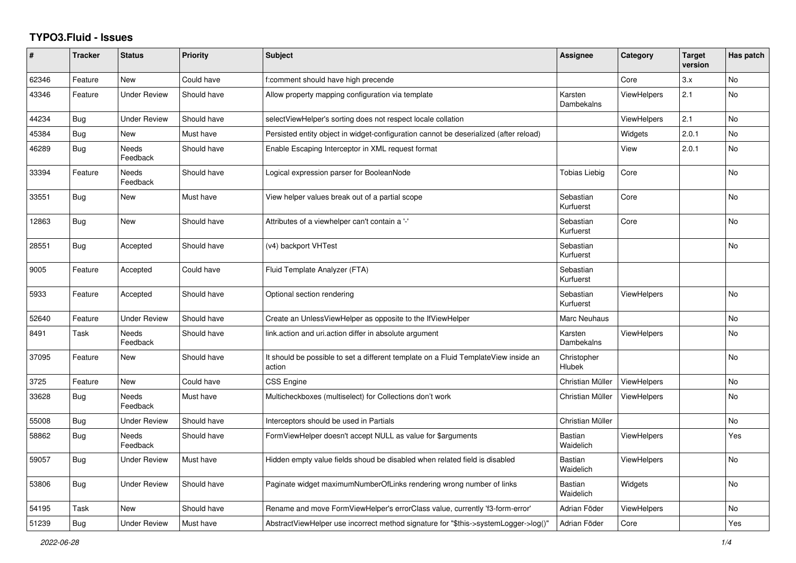## **TYPO3.Fluid - Issues**

| #     | <b>Tracker</b> | <b>Status</b>            | <b>Priority</b> | <b>Subject</b>                                                                                | Assignee                    | Category           | <b>Target</b><br>version | Has patch      |
|-------|----------------|--------------------------|-----------------|-----------------------------------------------------------------------------------------------|-----------------------------|--------------------|--------------------------|----------------|
| 62346 | Feature        | New                      | Could have      | f:comment should have high precende                                                           |                             | Core               | 3.x                      | No             |
| 43346 | Feature        | <b>Under Review</b>      | Should have     | Allow property mapping configuration via template                                             | Karsten<br>Dambekalns       | <b>ViewHelpers</b> | 2.1                      | No             |
| 44234 | Bug            | <b>Under Review</b>      | Should have     | selectViewHelper's sorting does not respect locale collation                                  |                             | ViewHelpers        | 2.1                      | No             |
| 45384 | <b>Bug</b>     | New                      | Must have       | Persisted entity object in widget-configuration cannot be deserialized (after reload)         |                             | Widgets            | 2.0.1                    | No             |
| 46289 | <b>Bug</b>     | <b>Needs</b><br>Feedback | Should have     | Enable Escaping Interceptor in XML request format                                             |                             | View               | 2.0.1                    | <b>No</b>      |
| 33394 | Feature        | Needs<br>Feedback        | Should have     | Logical expression parser for BooleanNode                                                     | Tobias Liebig               | Core               |                          | N <sub>o</sub> |
| 33551 | <b>Bug</b>     | New                      | Must have       | View helper values break out of a partial scope                                               | Sebastian<br>Kurfuerst      | Core               |                          | <b>No</b>      |
| 12863 | <b>Bug</b>     | New                      | Should have     | Attributes of a viewhelper can't contain a '-'                                                | Sebastian<br>Kurfuerst      | Core               |                          | <b>No</b>      |
| 28551 | <b>Bug</b>     | Accepted                 | Should have     | (v4) backport VHTest                                                                          | Sebastian<br>Kurfuerst      |                    |                          | <b>No</b>      |
| 9005  | Feature        | Accepted                 | Could have      | Fluid Template Analyzer (FTA)                                                                 | Sebastian<br>Kurfuerst      |                    |                          |                |
| 5933  | Feature        | Accepted                 | Should have     | Optional section rendering                                                                    | Sebastian<br>Kurfuerst      | ViewHelpers        |                          | N <sub>o</sub> |
| 52640 | Feature        | <b>Under Review</b>      | Should have     | Create an UnlessViewHelper as opposite to the IfViewHelper                                    | Marc Neuhaus                |                    |                          | <b>No</b>      |
| 8491  | Task           | Needs<br>Feedback        | Should have     | link.action and uri.action differ in absolute argument                                        | Karsten<br>Dambekalns       | <b>ViewHelpers</b> |                          | <b>No</b>      |
| 37095 | Feature        | New                      | Should have     | It should be possible to set a different template on a Fluid TemplateView inside an<br>action | Christopher<br>Hlubek       |                    |                          | <b>No</b>      |
| 3725  | Feature        | <b>New</b>               | Could have      | <b>CSS Engine</b>                                                                             | Christian Müller            | ViewHelpers        |                          | <b>No</b>      |
| 33628 | Bug            | <b>Needs</b><br>Feedback | Must have       | Multicheckboxes (multiselect) for Collections don't work                                      | Christian Müller            | <b>ViewHelpers</b> |                          | <b>No</b>      |
| 55008 | Bug            | <b>Under Review</b>      | Should have     | Interceptors should be used in Partials                                                       | Christian Müller            |                    |                          | <b>No</b>      |
| 58862 | Bug            | <b>Needs</b><br>Feedback | Should have     | FormViewHelper doesn't accept NULL as value for \$arguments                                   | <b>Bastian</b><br>Waidelich | <b>ViewHelpers</b> |                          | Yes            |
| 59057 | <b>Bug</b>     | <b>Under Review</b>      | Must have       | Hidden empty value fields shoud be disabled when related field is disabled                    | <b>Bastian</b><br>Waidelich | <b>ViewHelpers</b> |                          | <b>No</b>      |
| 53806 | Bug            | Under Review             | Should have     | Paginate widget maximumNumberOfLinks rendering wrong number of links                          | <b>Bastian</b><br>Waidelich | Widgets            |                          | <b>No</b>      |
| 54195 | Task           | New                      | Should have     | Rename and move FormViewHelper's errorClass value, currently 'f3-form-error'                  | Adrian Föder                | <b>ViewHelpers</b> |                          | <b>No</b>      |
| 51239 | Bug            | <b>Under Review</b>      | Must have       | AbstractViewHelper use incorrect method signature for "\$this->systemLogger->log()"           | Adrian Föder                | Core               |                          | Yes            |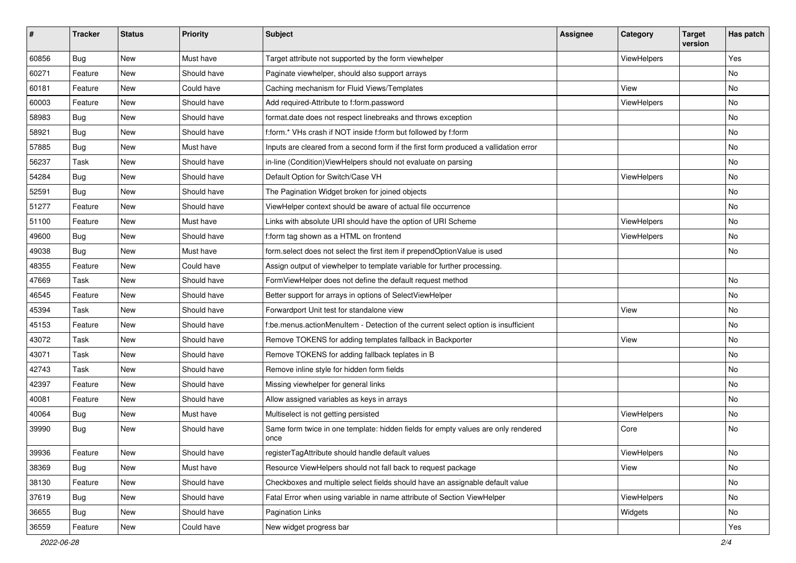| #     | <b>Tracker</b> | <b>Status</b> | <b>Priority</b> | Subject                                                                                   | Assignee | Category    | <b>Target</b><br>version | Has patch |
|-------|----------------|---------------|-----------------|-------------------------------------------------------------------------------------------|----------|-------------|--------------------------|-----------|
| 60856 | Bug            | <b>New</b>    | Must have       | Target attribute not supported by the form viewhelper                                     |          | ViewHelpers |                          | Yes       |
| 60271 | Feature        | New           | Should have     | Paginate viewhelper, should also support arrays                                           |          |             |                          | No        |
| 60181 | Feature        | New           | Could have      | Caching mechanism for Fluid Views/Templates                                               |          | View        |                          | No        |
| 60003 | Feature        | <b>New</b>    | Should have     | Add required-Attribute to f:form.password                                                 |          | ViewHelpers |                          | No        |
| 58983 | Bug            | New           | Should have     | format.date does not respect linebreaks and throws exception                              |          |             |                          | No        |
| 58921 | Bug            | <b>New</b>    | Should have     | f:form.* VHs crash if NOT inside f:form but followed by f:form                            |          |             |                          | No        |
| 57885 | Bug            | New           | Must have       | Inputs are cleared from a second form if the first form produced a vallidation error      |          |             |                          | No        |
| 56237 | Task           | New           | Should have     | in-line (Condition) View Helpers should not evaluate on parsing                           |          |             |                          | No        |
| 54284 | Bug            | <b>New</b>    | Should have     | Default Option for Switch/Case VH                                                         |          | ViewHelpers |                          | No        |
| 52591 | <b>Bug</b>     | New           | Should have     | The Pagination Widget broken for joined objects                                           |          |             |                          | No        |
| 51277 | Feature        | New           | Should have     | ViewHelper context should be aware of actual file occurrence                              |          |             |                          | No        |
| 51100 | Feature        | New           | Must have       | Links with absolute URI should have the option of URI Scheme                              |          | ViewHelpers |                          | No        |
| 49600 | <b>Bug</b>     | New           | Should have     | f:form tag shown as a HTML on frontend                                                    |          | ViewHelpers |                          | No        |
| 49038 | Bug            | <b>New</b>    | Must have       | form.select does not select the first item if prependOptionValue is used                  |          |             |                          | No        |
| 48355 | Feature        | New           | Could have      | Assign output of viewhelper to template variable for further processing.                  |          |             |                          |           |
| 47669 | Task           | New           | Should have     | FormViewHelper does not define the default request method                                 |          |             |                          | No        |
| 46545 | Feature        | New           | Should have     | Better support for arrays in options of SelectViewHelper                                  |          |             |                          | No        |
| 45394 | Task           | New           | Should have     | Forwardport Unit test for standalone view                                                 |          | View        |                          | No        |
| 45153 | Feature        | <b>New</b>    | Should have     | f:be.menus.actionMenuItem - Detection of the current select option is insufficient        |          |             |                          | No        |
| 43072 | Task           | New           | Should have     | Remove TOKENS for adding templates fallback in Backporter                                 |          | View        |                          | No        |
| 43071 | Task           | New           | Should have     | Remove TOKENS for adding fallback teplates in B                                           |          |             |                          | No        |
| 42743 | Task           | New           | Should have     | Remove inline style for hidden form fields                                                |          |             |                          | No        |
| 42397 | Feature        | New           | Should have     | Missing viewhelper for general links                                                      |          |             |                          | No        |
| 40081 | Feature        | New           | Should have     | Allow assigned variables as keys in arrays                                                |          |             |                          | <b>No</b> |
| 40064 | <b>Bug</b>     | New           | Must have       | Multiselect is not getting persisted                                                      |          | ViewHelpers |                          | No        |
| 39990 | <b>Bug</b>     | New           | Should have     | Same form twice in one template: hidden fields for empty values are only rendered<br>once |          | Core        |                          | <b>No</b> |
| 39936 | Feature        | New           | Should have     | registerTagAttribute should handle default values                                         |          | ViewHelpers |                          | No        |
| 38369 | Bug            | New           | Must have       | Resource ViewHelpers should not fall back to request package                              |          | View        |                          | No        |
| 38130 | Feature        | New           | Should have     | Checkboxes and multiple select fields should have an assignable default value             |          |             |                          | No        |
| 37619 | Bug            | New           | Should have     | Fatal Error when using variable in name attribute of Section ViewHelper                   |          | ViewHelpers |                          | No        |
| 36655 | Bug            | New           | Should have     | <b>Pagination Links</b>                                                                   |          | Widgets     |                          | No        |
| 36559 | Feature        | New           | Could have      | New widget progress bar                                                                   |          |             |                          | Yes       |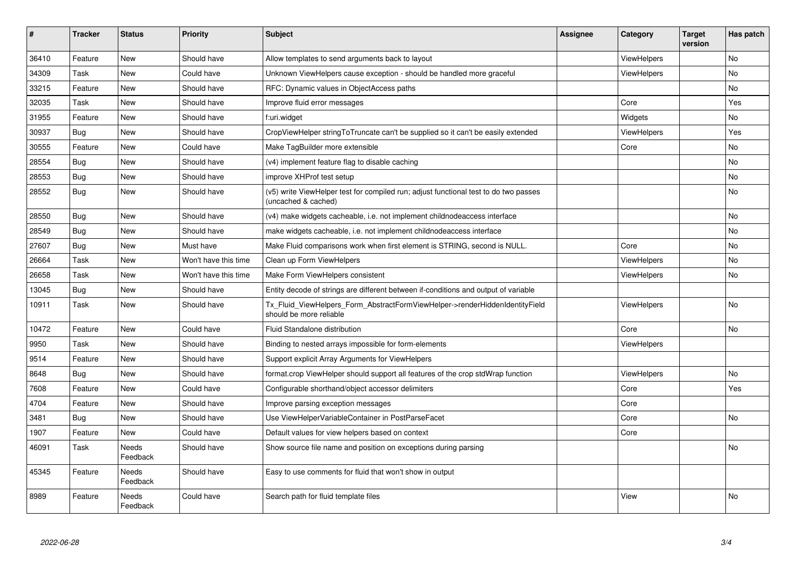| #     | <b>Tracker</b> | <b>Status</b>     | <b>Priority</b>      | <b>Subject</b>                                                                                              | <b>Assignee</b> | Category           | <b>Target</b><br>version | Has patch |
|-------|----------------|-------------------|----------------------|-------------------------------------------------------------------------------------------------------------|-----------------|--------------------|--------------------------|-----------|
| 36410 | Feature        | New               | Should have          | Allow templates to send arguments back to layout                                                            |                 | ViewHelpers        |                          | <b>No</b> |
| 34309 | Task           | New               | Could have           | Unknown ViewHelpers cause exception - should be handled more graceful                                       |                 | <b>ViewHelpers</b> |                          | No        |
| 33215 | Feature        | New               | Should have          | RFC: Dynamic values in ObjectAccess paths                                                                   |                 |                    |                          | No        |
| 32035 | Task           | New               | Should have          | Improve fluid error messages                                                                                |                 | Core               |                          | Yes       |
| 31955 | Feature        | New               | Should have          | f:uri.widget                                                                                                |                 | Widgets            |                          | No        |
| 30937 | <b>Bug</b>     | <b>New</b>        | Should have          | CropViewHelper stringToTruncate can't be supplied so it can't be easily extended                            |                 | <b>ViewHelpers</b> |                          | Yes       |
| 30555 | Feature        | New               | Could have           | Make TagBuilder more extensible                                                                             |                 | Core               |                          | No        |
| 28554 | Bug            | New               | Should have          | (v4) implement feature flag to disable caching                                                              |                 |                    |                          | No        |
| 28553 | Bug            | New               | Should have          | improve XHProf test setup                                                                                   |                 |                    |                          | No.       |
| 28552 | <b>Bug</b>     | New               | Should have          | (v5) write ViewHelper test for compiled run; adjust functional test to do two passes<br>(uncached & cached) |                 |                    |                          | No        |
| 28550 | Bug            | New               | Should have          | (v4) make widgets cacheable, i.e. not implement childnodeaccess interface                                   |                 |                    |                          | <b>No</b> |
| 28549 | Bug            | New               | Should have          | make widgets cacheable, i.e. not implement childnodeaccess interface                                        |                 |                    |                          | No        |
| 27607 | Bug            | New               | Must have            | Make Fluid comparisons work when first element is STRING, second is NULL.                                   |                 | Core               |                          | No        |
| 26664 | Task           | New               | Won't have this time | Clean up Form ViewHelpers                                                                                   |                 | ViewHelpers        |                          | <b>No</b> |
| 26658 | Task           | New               | Won't have this time | Make Form ViewHelpers consistent                                                                            |                 | <b>ViewHelpers</b> |                          | No        |
| 13045 | Bug            | New               | Should have          | Entity decode of strings are different between if-conditions and output of variable                         |                 |                    |                          |           |
| 10911 | Task           | <b>New</b>        | Should have          | Tx_Fluid_ViewHelpers_Form_AbstractFormViewHelper->renderHiddenIdentityField<br>should be more reliable      |                 | ViewHelpers        |                          | <b>No</b> |
| 10472 | Feature        | New               | Could have           | Fluid Standalone distribution                                                                               |                 | Core               |                          | <b>No</b> |
| 9950  | Task           | New               | Should have          | Binding to nested arrays impossible for form-elements                                                       |                 | ViewHelpers        |                          |           |
| 9514  | Feature        | New               | Should have          | Support explicit Array Arguments for ViewHelpers                                                            |                 |                    |                          |           |
| 8648  | Bug            | New               | Should have          | format.crop ViewHelper should support all features of the crop stdWrap function                             |                 | ViewHelpers        |                          | <b>No</b> |
| 7608  | Feature        | New               | Could have           | Configurable shorthand/object accessor delimiters                                                           |                 | Core               |                          | Yes       |
| 4704  | Feature        | New               | Should have          | Improve parsing exception messages                                                                          |                 | Core               |                          |           |
| 3481  | Bug            | New               | Should have          | Use ViewHelperVariableContainer in PostParseFacet                                                           |                 | Core               |                          | <b>No</b> |
| 1907  | Feature        | New               | Could have           | Default values for view helpers based on context                                                            |                 | Core               |                          |           |
| 46091 | Task           | Needs<br>Feedback | Should have          | Show source file name and position on exceptions during parsing                                             |                 |                    |                          | No        |
| 45345 | Feature        | Needs<br>Feedback | Should have          | Easy to use comments for fluid that won't show in output                                                    |                 |                    |                          |           |
| 8989  | Feature        | Needs<br>Feedback | Could have           | Search path for fluid template files                                                                        |                 | View               |                          | No        |